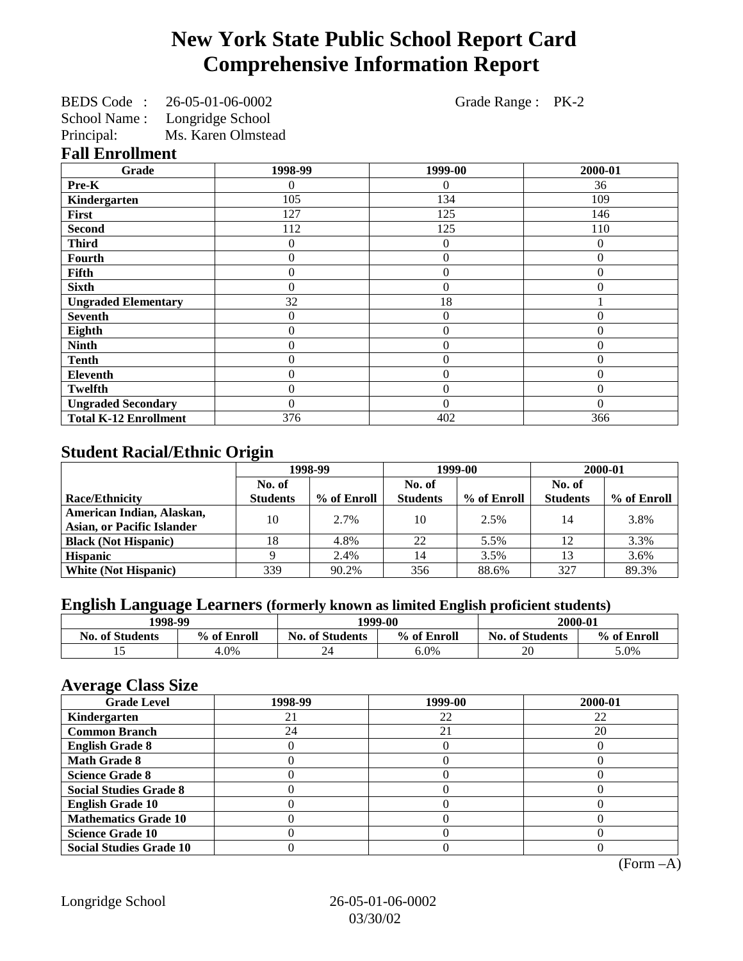# **New York State Public School Report Card Comprehensive Information Report**

BEDS Code : 26-05-01-06-0002 Grade Range : PK-2 School Name : Longridge School

Principal: Ms. Karen Olmstead

**Fall Enrollment**

| Grade                        | 1998-99 | 1999-00        | 2000-01  |
|------------------------------|---------|----------------|----------|
| Pre-K                        |         | 0              | 36       |
| Kindergarten                 | 105     | 134            | 109      |
| First                        | 127     | 125            | 146      |
| <b>Second</b>                | 112     | 125            | 110      |
| <b>Third</b>                 | 0       | $\Omega$       | 0        |
| Fourth                       | 0       | $\theta$       | 0        |
| <b>Fifth</b>                 | 0       | $\theta$       | $\theta$ |
| <b>Sixth</b>                 | 0       | $\theta$       | $\Omega$ |
| <b>Ungraded Elementary</b>   | 32      | 18             |          |
| <b>Seventh</b>               | 0       | $\theta$       | $\Omega$ |
| Eighth                       | 0       | $\theta$       | $\Omega$ |
| <b>Ninth</b>                 | 0       | $\overline{0}$ | $\Omega$ |
| <b>Tenth</b>                 | 0       | $\theta$       | $\Omega$ |
| <b>Eleventh</b>              | 0       | $\overline{0}$ | $\Omega$ |
| <b>Twelfth</b>               | 0       | $\overline{0}$ | $\Omega$ |
| <b>Ungraded Secondary</b>    | 0       | $\theta$       | $\Omega$ |
| <b>Total K-12 Enrollment</b> | 376     | 402            | 366      |

## **Student Racial/Ethnic Origin**

|                                   | 1998-99         |             | 1999-00         |             | 2000-01         |             |
|-----------------------------------|-----------------|-------------|-----------------|-------------|-----------------|-------------|
|                                   | No. of          |             | No. of          |             | No. of          |             |
| <b>Race/Ethnicity</b>             | <b>Students</b> | % of Enroll | <b>Students</b> | % of Enroll | <b>Students</b> | % of Enroll |
| American Indian, Alaskan,         | 10              | $2.7\%$     | 10              | 2.5%        | 14              | 3.8%        |
| <b>Asian, or Pacific Islander</b> |                 |             |                 |             |                 |             |
| <b>Black (Not Hispanic)</b>       | 18              | 4.8%        | 22              | 5.5%        | 12              | 3.3%        |
| <b>Hispanic</b>                   |                 | 2.4%        | 14              | 3.5%        |                 | 3.6%        |
| <b>White (Not Hispanic)</b>       | 339             | 90.2%       | 356             | 88.6%       | 327             | 89.3%       |

## **English Language Learners (formerly known as limited English proficient students)**

| 1998-99                |             | 1999-00                |             | 2000-01                |             |
|------------------------|-------------|------------------------|-------------|------------------------|-------------|
| <b>No. of Students</b> | % of Enroll | <b>No. of Students</b> | % of Enroll | <b>No. of Students</b> | % of Enroll |
|                        | $4.0\%$     | 44                     | 6.0%        | 20                     | 5.0%        |

#### **Average Class Size**

| -- <i>--</i> --<br><b>Grade Level</b> | 1998-99 | 1999-00 | 2000-01 |
|---------------------------------------|---------|---------|---------|
| Kindergarten                          |         | 22      | 22      |
| <b>Common Branch</b>                  | 24      | 21      | 20      |
| <b>English Grade 8</b>                |         |         |         |
| <b>Math Grade 8</b>                   |         |         |         |
| <b>Science Grade 8</b>                |         |         |         |
| <b>Social Studies Grade 8</b>         |         |         |         |
| <b>English Grade 10</b>               |         |         |         |
| <b>Mathematics Grade 10</b>           |         |         |         |
| <b>Science Grade 10</b>               |         |         |         |
| <b>Social Studies Grade 10</b>        |         |         |         |

(Form –A)